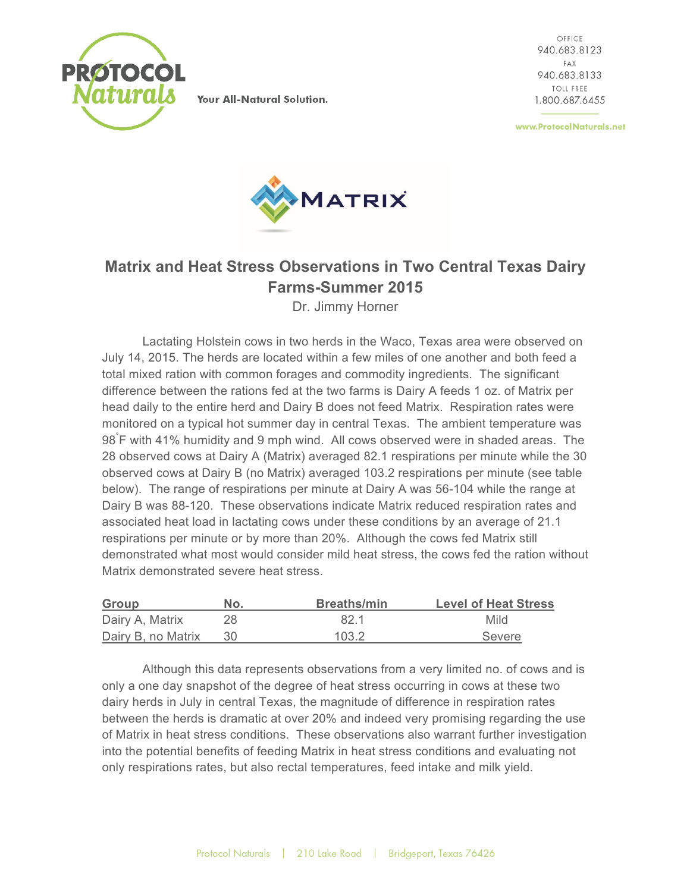

Your All-Natural Solution.

OFFICE 940.683.8123 FAX 940.683.8133 TOLL FREE 1.800.687.6455

www.ProtocolNaturals.net



## **Matrix and Heat Stress Observations in Two Central Texas Dairy Farms-Summer 2015**

Dr. Jimmy Horner

Lactating Holstein cows in two herds in the Waco, Texas area were observed on July 14, 2015. The herds are located within a few miles of one another and both feed a total mixed ration with common forages and commodity ingredients. The significant difference between the rations fed at the two farms is Dairy A feeds 1 oz. of Matrix per head daily to the entire herd and Dairy B does not feed Matrix. Respiration rates were monitored on a typical hot summer day in central Texas. The ambient temperature was 98° F with 41% humidity and 9 mph wind. All cows observed were in shaded areas. The 28 observed cows at Dairy A (Matrix) averaged 82.1 respirations per minute while the 30 observed cows at Dairy B (no Matrix) averaged 103.2 respirations per minute (see table below). The range of respirations per minute at Dairy A was 56-104 while the range at Dairy B was 88-120. These observations indicate Matrix reduced respiration rates and associated heat load in lactating cows under these conditions by an average of 21.1 respirations per minute or by more than 20%. Although the cows fed Matrix still demonstrated what most would consider mild heat stress, the cows fed the ration without Matrix demonstrated severe heat stress.

| Group              | No. | <b>Breaths/min</b> | <b>Level of Heat Stress</b> |
|--------------------|-----|--------------------|-----------------------------|
| Dairy A, Matrix    |     | 82.1               | Mild                        |
| Dairy B, no Matrix | -30 | 103.2              | Severe                      |

Although this data represents observations from a very limited no. of cows and is only a one day snapshot of the degree of heat stress occurring in cows at these two dairy herds in July in central Texas, the magnitude of difference in respiration rates between the herds is dramatic at over 20% and indeed very promising regarding the use of Matrix in heat stress conditions. These observations also warrant further investigation into the potential benefits of feeding Matrix in heat stress conditions and evaluating not only respirations rates, but also rectal temperatures, feed intake and milk yield.